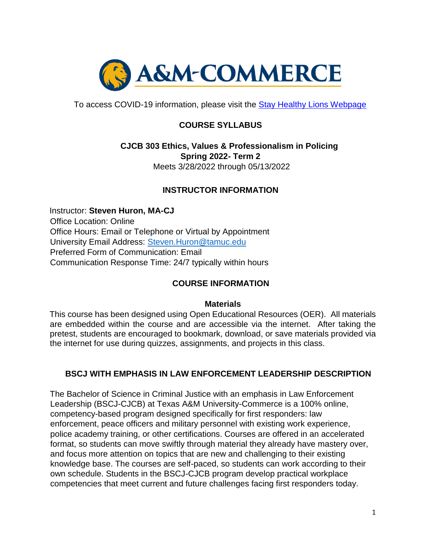

To access COVID-19 information, please visit the [Stay Healthy Lions Webpage](https://new.tamuc.edu/coronavirus/) 

# **COURSE SYLLABUS**

## **CJCB 303 Ethics, Values & Professionalism in Policing Spring 2022- Term 2**  Meets 3/28/2022 through 05/13/2022

## **INSTRUCTOR INFORMATION**

Instructor: **Steven Huron, MA-CJ**  Office Location: Online Office Hours: Email or Telephone or Virtual by Appointment University Email Address: Steven.Huron@tamuc.edu Preferred Form of Communication: Email Communication Response Time: 24/7 typically within hours

## **COURSE INFORMATION**

#### **Materials**

This course has been designed using Open Educational Resources (OER). All materials are embedded within the course and are accessible via the internet. After taking the pretest, students are encouraged to bookmark, download, or save materials provided via the internet for use during quizzes, assignments, and projects in this class.

## **BSCJ WITH EMPHASIS IN LAW ENFORCEMENT LEADERSHIP DESCRIPTION**

The Bachelor of Science in Criminal Justice with an emphasis in Law Enforcement Leadership (BSCJ-CJCB) at Texas A&M University-Commerce is a 100% online, competency-based program designed specifically for first responders: law enforcement, peace officers and military personnel with existing work experience, police academy training, or other certifications. Courses are offered in an accelerated format, so students can move swiftly through material they already have mastery over, and focus more attention on topics that are new and challenging to their existing knowledge base. The courses are self-paced, so students can work according to their own schedule. Students in the BSCJ-CJCB program develop practical workplace competencies that meet current and future challenges facing first responders today.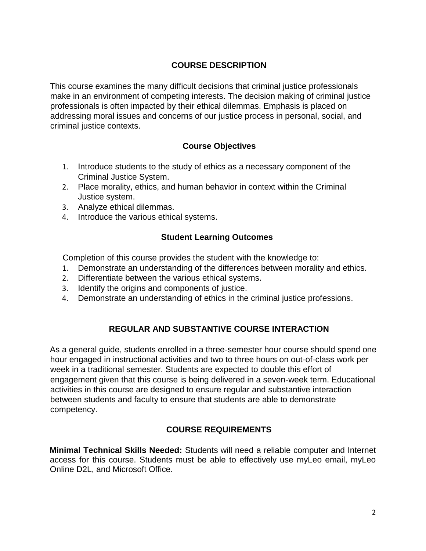## **COURSE DESCRIPTION**

This course examines the many difficult decisions that criminal justice professionals make in an environment of competing interests. The decision making of criminal justice professionals is often impacted by their ethical dilemmas. Emphasis is placed on addressing moral issues and concerns of our justice process in personal, social, and criminal justice contexts.

## **Course Objectives**

- 1. Introduce students to the study of ethics as a necessary component of the Criminal Justice System.
- 2. Place morality, ethics, and human behavior in context within the Criminal Justice system.
- 3. Analyze ethical dilemmas.
- 4. Introduce the various ethical systems.

## **Student Learning Outcomes**

Completion of this course provides the student with the knowledge to:

- 1. Demonstrate an understanding of the differences between morality and ethics.
- 2. Differentiate between the various ethical systems.
- 3. Identify the origins and components of justice.
- 4. Demonstrate an understanding of ethics in the criminal justice professions.

# **REGULAR AND SUBSTANTIVE COURSE INTERACTION**

As a general guide, students enrolled in a three-semester hour course should spend one hour engaged in instructional activities and two to three hours on out-of-class work per week in a traditional semester. Students are expected to double this effort of engagement given that this course is being delivered in a seven-week term. Educational activities in this course are designed to ensure regular and substantive interaction between students and faculty to ensure that students are able to demonstrate competency.

## **COURSE REQUIREMENTS**

**Minimal Technical Skills Needed:** Students will need a reliable computer and Internet access for this course. Students must be able to effectively use myLeo email, myLeo Online D2L, and Microsoft Office.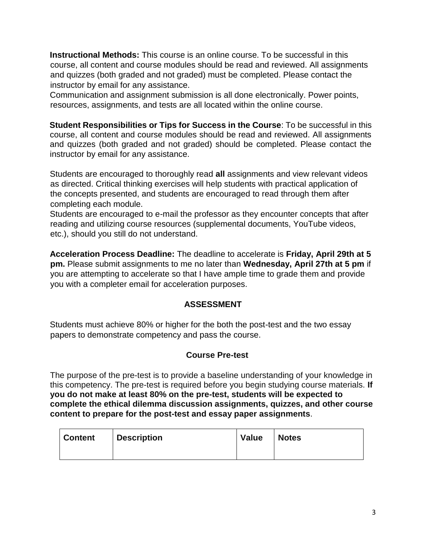**Instructional Methods:** This course is an online course. To be successful in this course, all content and course modules should be read and reviewed. All assignments and quizzes (both graded and not graded) must be completed. Please contact the instructor by email for any assistance.

Communication and assignment submission is all done electronically. Power points, resources, assignments, and tests are all located within the online course.

**Student Responsibilities or Tips for Success in the Course**: To be successful in this course, all content and course modules should be read and reviewed. All assignments and quizzes (both graded and not graded) should be completed. Please contact the instructor by email for any assistance.

Students are encouraged to thoroughly read **all** assignments and view relevant videos as directed. Critical thinking exercises will help students with practical application of the concepts presented, and students are encouraged to read through them after completing each module.

Students are encouraged to e-mail the professor as they encounter concepts that after reading and utilizing course resources (supplemental documents, YouTube videos, etc.), should you still do not understand.

**Acceleration Process Deadline:** The deadline to accelerate is **Friday, April 29th at 5 pm.** Please submit assignments to me no later than **Wednesday, April 27th at 5 pm** if you are attempting to accelerate so that I have ample time to grade them and provide you with a completer email for acceleration purposes.

## **ASSESSMENT**

Students must achieve 80% or higher for the both the post-test and the two essay papers to demonstrate competency and pass the course.

## **Course Pre-test**

The purpose of the pre-test is to provide a baseline understanding of your knowledge in this competency. The pre-test is required before you begin studying course materials. **If you do not make at least 80% on the pre-test, students will be expected to complete the ethical dilemma discussion assignments, quizzes, and other course content to prepare for the post-test and essay paper assignments**.

| <b>Content</b> | Description | <b>Value</b> | <b>Notes</b> |
|----------------|-------------|--------------|--------------|
|                |             |              |              |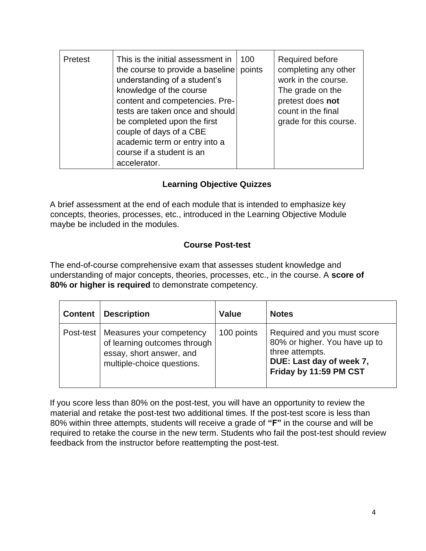| Pretest | This is the initial assessment in<br>the course to provide a baseline<br>understanding of a student's<br>knowledge of the course<br>content and competencies. Pre-<br>tests are taken once and should<br>be completed upon the first<br>couple of days of a CBE<br>academic term or entry into a<br>course if a student is an<br>accelerator. | 100<br>points | <b>Required before</b><br>completing any other<br>work in the course.<br>The grade on the<br>pretest does not<br>count in the final<br>grade for this course. |
|---------|-----------------------------------------------------------------------------------------------------------------------------------------------------------------------------------------------------------------------------------------------------------------------------------------------------------------------------------------------|---------------|---------------------------------------------------------------------------------------------------------------------------------------------------------------|
|---------|-----------------------------------------------------------------------------------------------------------------------------------------------------------------------------------------------------------------------------------------------------------------------------------------------------------------------------------------------|---------------|---------------------------------------------------------------------------------------------------------------------------------------------------------------|

# **Learning Objective Quizzes**

A brief assessment at the end of each module that is intended to emphasize key concepts, theories, processes, etc., introduced in the Learning Objective Module maybe be included in the modules.

## **Course Post-test**

The end-of-course comprehensive exam that assesses student knowledge and understanding of major concepts, theories, processes, etc., in the course. A **score of 80% or higher is required** to demonstrate competency.

| <b>Content</b> | <b>Description</b>                                                                                                 | <b>Value</b> | <b>Notes</b>                                                                                                                          |
|----------------|--------------------------------------------------------------------------------------------------------------------|--------------|---------------------------------------------------------------------------------------------------------------------------------------|
| Post-test      | Measures your competency<br>of learning outcomes through<br>essay, short answer, and<br>multiple-choice questions. | 100 points   | Required and you must score<br>80% or higher. You have up to<br>three attempts.<br>DUE: Last day of week 7,<br>Friday by 11:59 PM CST |

If you score less than 80% on the post-test, you will have an opportunity to review the material and retake the post-test two additional times. If the post-test score is less than 80% within three attempts, students will receive a grade of **"F"** in the course and will be required to retake the course in the new term. Students who fail the post-test should review feedback from the instructor before reattempting the post-test.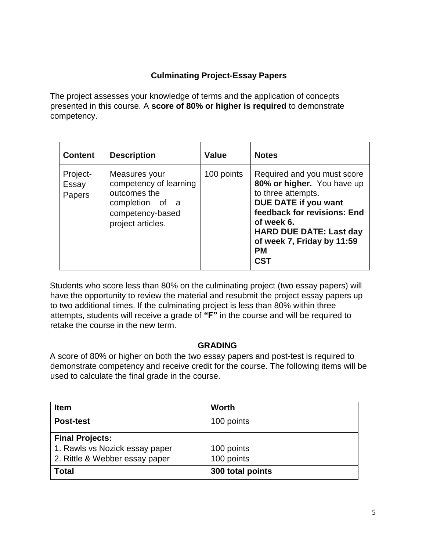# **Culminating Project-Essay Papers**

The project assesses your knowledge of terms and the application of concepts presented in this course. A **score of 80% or higher is required** to demonstrate competency.

| <b>Content</b>              | <b>Description</b>                                                                                                  | Value      | <b>Notes</b>                                                                                                                                                                                                                                    |
|-----------------------------|---------------------------------------------------------------------------------------------------------------------|------------|-------------------------------------------------------------------------------------------------------------------------------------------------------------------------------------------------------------------------------------------------|
| Project-<br>Essay<br>Papers | Measures your<br>competency of learning<br>outcomes the<br>completion of a<br>competency-based<br>project articles. | 100 points | Required and you must score<br>80% or higher. You have up<br>to three attempts.<br>DUE DATE if you want<br>feedback for revisions: End<br>of week 6.<br><b>HARD DUE DATE: Last day</b><br>of week 7, Friday by 11:59<br><b>PM</b><br><b>CST</b> |

Students who score less than 80% on the culminating project (two essay papers) will have the opportunity to review the material and resubmit the project essay papers up to two additional times. If the culminating project is less than 80% within three attempts, students will receive a grade of **"F"** in the course and will be required to retake the course in the new term.

## **GRADING**

A score of 80% or higher on both the two essay papers and post-test is required to demonstrate competency and receive credit for the course. The following items will be used to calculate the final grade in the course.

| <b>Item</b>                    | <b>Worth</b>     |
|--------------------------------|------------------|
| <b>Post-test</b>               | 100 points       |
| <b>Final Projects:</b>         |                  |
| 1. Rawls vs Nozick essay paper | 100 points       |
| 2. Rittle & Webber essay paper | 100 points       |
| <b>Total</b>                   | 300 total points |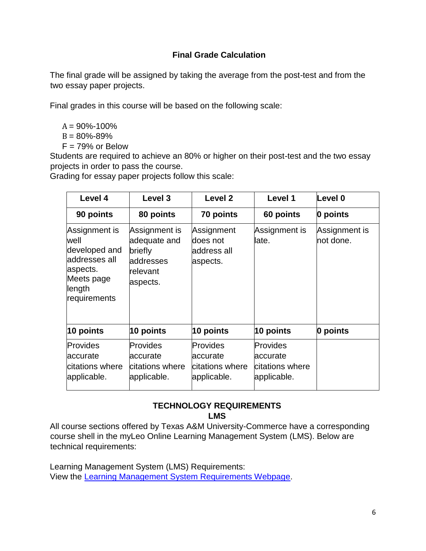## **Final Grade Calculation**

The final grade will be assigned by taking the average from the post-test and from the two essay paper projects.

Final grades in this course will be based on the following scale:

- $A = 90\% 100\%$
- $B = 80\% 89\%$
- $F = 79%$  or Below

Students are required to achieve an 80% or higher on their post-test and the two essay projects in order to pass the course.

Grading for essay paper projects follow this scale:

| Level 4                                                                                                      | Level 3                                                                       | Level <sub>2</sub>                                      | Level 1                                                       | Level 0                    |
|--------------------------------------------------------------------------------------------------------------|-------------------------------------------------------------------------------|---------------------------------------------------------|---------------------------------------------------------------|----------------------------|
| 90 points                                                                                                    | 80 points                                                                     | 70 points                                               | 60 points                                                     | 0 points                   |
| Assignment is<br>well<br>developed and<br>laddresses all<br>aspects.<br>Meets page<br>length<br>requirements | Assignment is<br>adequate and<br>briefly<br>addresses<br>relevant<br>aspects. | Assignment<br>does not<br>address all<br>aspects.       | Assignment is<br>late.                                        | Assignment is<br>not done. |
| 10 points                                                                                                    | 10 points                                                                     | 10 points                                               | 10 points                                                     | 0 points                   |
| Provides<br>accurate<br>citations where<br>applicable.                                                       | <b>Provides</b><br>accurate<br>citations where<br>applicable.                 | Provides<br>laccurate<br>citations where<br>applicable. | <b>Provides</b><br>accurate<br>citations where<br>applicable. |                            |

# **TECHNOLOGY REQUIREMENTS LMS**

All course sections offered by Texas A&M University-Commerce have a corresponding course shell in the myLeo Online Learning Management System (LMS). Below are technical requirements:

Learning Management System (LMS) Requirements: View the [Learning Management System Requirements Webpage.](https://community.brightspace.com/s/article/Brightspace-Platform-Requirements)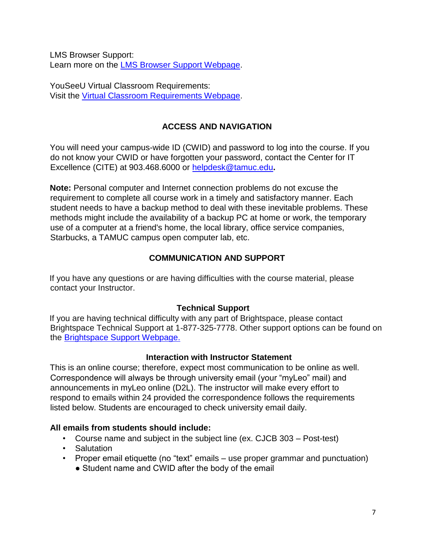LMS Browser Support: Learn more on the LMS Browser Support Webpage.

YouSeeU Virtual Classroom Requirements: Visit the [Virtual Classroom Requirements Webpage.](https://support.youseeu.com/hc/en-us/articles/115007031107-Basic-System-Requirements) 

# **ACCESS AND NAVIGATION**

You will need your campus-wide ID (CWID) and password to log into the course. If you do not know your CWID or have forgotten your password, contact the Center for IT Excellence (CITE) at 903.468.6000 or helpdesk@tamuc.edu**.** 

**Note:** Personal computer and Internet connection problems do not excuse the requirement to complete all course work in a timely and satisfactory manner. Each student needs to have a backup method to deal with these inevitable problems. These methods might include the availability of a backup PC at home or work, the temporary use of a computer at a friend's home, the local library, office service companies, Starbucks, a TAMUC campus open computer lab, etc.

# **COMMUNICATION AND SUPPORT**

If you have any questions or are having difficulties with the course material, please contact your Instructor.

## **Technical Support**

If you are having technical difficulty with any part of Brightspace, please contact Brightspace Technical Support at 1-877-325-7778. Other support options can be found on the [Brightspace](https://community.brightspace.com/support/s/contactsupport) [Support Webpage.](https://community.brightspace.com/support/s/contactsupport)

## **Interaction with Instructor Statement**

This is an online course; therefore, expect most communication to be online as well. Correspondence will always be through university email (your "myLeo" mail) and announcements in myLeo online (D2L). The instructor will make every effort to respond to emails within 24 provided the correspondence follows the requirements listed below. Students are encouraged to check university email daily.

## **All emails from students should include:**

- Course name and subject in the subject line (ex. CJCB 303 Post-test)
- Salutation
- Proper email etiquette (no "text" emails use proper grammar and punctuation)
	- Student name and CWID after the body of the email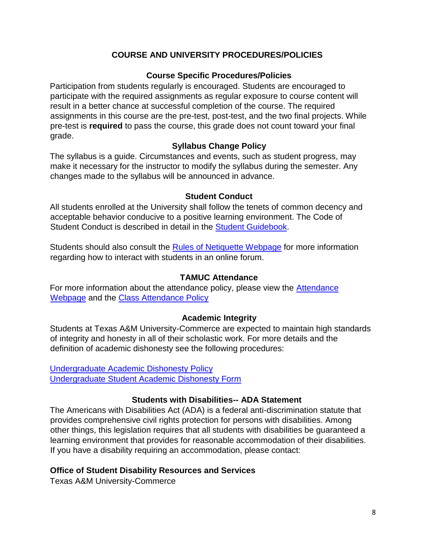## **COURSE AND UNIVERSITY PROCEDURES/POLICIES**

#### **Course Specific Procedures/Policies**

Participation from students regularly is encouraged. Students are encouraged to participate with the required assignments as regular exposure to course content will result in a better chance at successful completion of the course. The required assignments in this course are the pre-test, post-test, and the two final projects. While pre-test is **required** to pass the course, this grade does not count toward your final grade.

#### **Syllabus Change Policy**

The syllabus is a guide. Circumstances and events, such as student progress, may make it necessary for the instructor to modify the syllabus during the semester. Any changes made to the syllabus will be announced in advance.

#### **Student Conduct**

All students enrolled at the University shall follow the tenets of common decency and acceptable behavior conducive to a positive learning environment. The Code of Student Conduct is described in detail in the Student Guidebook.

Students should also consult the [Rules of Netiquette Webpage](https://www.britannica.com/topic/netiquette) [fo](https://www.britannica.com/topic/netiquette)r more information regarding how to interact with students in an online forum.

#### **TAMUC Attendance**

For more information about the attendance policy, please view the [Attendance](http://www.tamuc.edu/admissions/registrar/generalInformation/attendance.aspx) [Webpage](http://www.tamuc.edu/admissions/registrar/generalInformation/attendance.aspx) [an](http://www.tamuc.edu/admissions/registrar/generalInformation/attendance.aspx)d the [Class Attendance Policy](http://www.tamuc.edu/aboutUs/policiesProceduresStandardsStatements/rulesProcedures/13students/academic/13.99.99.R0.01.pdf) 

#### **Academic Integrity**

Students at Texas A&M University-Commerce are expected to maintain high standards of integrity and honesty in all of their scholastic work. For more details and the definition of academic dishonesty see the following procedures:

[Undergraduate Academic Dishonesty Pol](http://www.tamuc.edu/aboutUs/policiesProceduresStandardsStatements/rulesProcedures/13students/undergraduates/13.99.99.R0.03UndergraduateAcademicDishonesty.pdf)icy [Undergraduate Student Academic Dishonesty Form](http://www.tamuc.edu/aboutUs/policiesProceduresStandardsStatements/rulesProcedures/documents/13.99.99.R0.03UndergraduateStudentAcademicDishonestyForm.pdf)

#### **Students with Disabilities-- ADA Statement**

The Americans with Disabilities Act (ADA) is a federal anti-discrimination statute that provides comprehensive civil rights protection for persons with disabilities. Among other things, this legislation requires that all students with disabilities be guaranteed a learning environment that provides for reasonable accommodation of their disabilities. If you have a disability requiring an accommodation, please contact:

#### **Office of Student Disability Resources and Services**

Texas A&M University-Commerce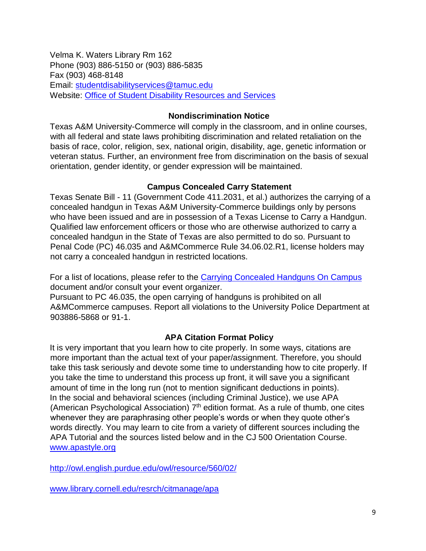Velma K. Waters Library Rm 162 Phone (903) 886-5150 or (903) 886-5835 Fax (903) 468-8148 Email: studentdisabilityservices@tamuc.edu Website: [Office of Student Disability Resources and Services](http://www.tamuc.edu/campusLife/campusServices/studentDisabilityResourcesAndServices/) 

#### **Nondiscrimination Notice**

Texas A&M University-Commerce will comply in the classroom, and in online courses, with all federal and state laws prohibiting discrimination and related retaliation on the basis of race, color, religion, sex, national origin, disability, age, genetic information or veteran status. Further, an environment free from discrimination on the basis of sexual orientation, gender identity, or gender expression will be maintained.

## **Campus Concealed Carry Statement**

Texas Senate Bill - 11 (Government Code 411.2031, et al.) authorizes the carrying of a concealed handgun in Texas A&M University-Commerce buildings only by persons who have been issued and are in possession of a Texas License to Carry a Handgun. Qualified law enforcement officers or those who are otherwise authorized to carry a concealed handgun in the State of Texas are also permitted to do so. Pursuant to Penal Code (PC) 46.035 and A&MCommerce Rule 34.06.02.R1, license holders may not carry a concealed handgun in restricted locations.

For a list of locations, please refer to the [Carrying Concealed Handguns On Campus](http://www.tamuc.edu/aboutUs/policiesProceduresStandardsStatements/rulesProcedures/34SafetyOfEmployeesAndStudents/34.06.02.R1.pdf) document and/or consult your event organizer.

Pursuant to PC 46.035, the open carrying of handguns is prohibited on all A&MCommerce campuses. Report all violations to the University Police Department at 903886-5868 or 91-1.

# **APA Citation Format Policy**

It is very important that you learn how to cite properly. In some ways, citations are more important than the actual text of your paper/assignment. Therefore, you should take this task seriously and devote some time to understanding how to cite properly. If you take the time to understand this process up front, it will save you a significant amount of time in the long run (not to mention significant deductions in points). In the social and behavioral sciences (including Criminal Justice), we use APA (American Psychological Association)  $7<sup>th</sup>$  edition format. As a rule of thumb, one cites whenever they are paraphrasing other people's words or when they quote other's words directly. You may learn to cite from a variety of different sources including the APA Tutorial and the sources listed below and in the CJ 500 Orientation Course. [www.apastyle.org](http://www.apastyle.org/) 

<http://owl.english.purdue.edu/owl/resource/560/02/>

[www.library.cornell.edu/resrch/citmanage/apa](http://www.library.cornell.edu/resrch/citmanage/apa)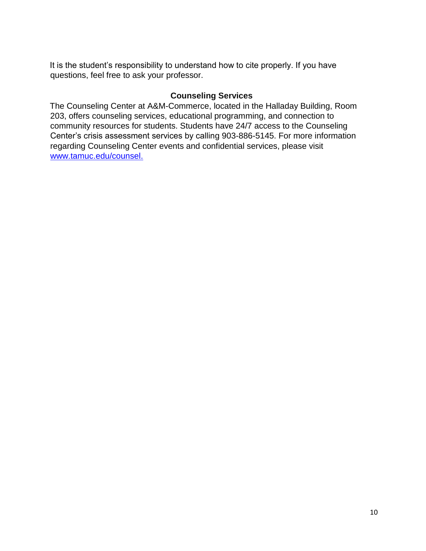It is the student's responsibility to understand how to cite properly. If you have questions, feel free to ask your professor.

#### **Counseling Services**

The Counseling Center at A&M-Commerce, located in the Halladay Building, Room 203, offers counseling services, educational programming, and connection to community resources for students. Students have 24/7 access to the Counseling Center's crisis assessment services by calling 903-886-5145. For more information regarding Counseling Center events and confidential services, please visit [www.tamuc.edu/counsel.](http://www.tamuc.edu/counsel)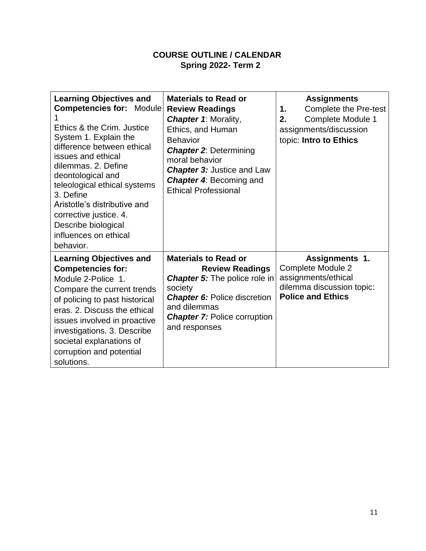# **COURSE OUTLINE / CALENDAR Spring 2022- Term 2**

| <b>Learning Objectives and</b><br><b>Competencies for: Module</b><br>Ethics & the Crim. Justice<br>System 1. Explain the<br>difference between ethical<br>issues and ethical<br>dilemmas, 2. Define<br>deontological and<br>teleological ethical systems<br>3. Define<br>Aristotle's distributive and<br>corrective justice. 4.<br>Describe biological<br>influences on ethical<br>behavior. | <b>Materials to Read or</b><br><b>Review Readings</b><br><b>Chapter 1: Morality,</b><br>Ethics, and Human<br><b>Behavior</b><br><b>Chapter 2: Determining</b><br>moral behavior<br><b>Chapter 3: Justice and Law</b><br><b>Chapter 4: Becoming and</b><br><b>Ethical Professional</b> | <b>Assignments</b><br>Complete the Pre-test<br>1.<br>Complete Module 1<br>2.<br>assignments/discussion<br>topic: Intro to Ethics  |
|----------------------------------------------------------------------------------------------------------------------------------------------------------------------------------------------------------------------------------------------------------------------------------------------------------------------------------------------------------------------------------------------|---------------------------------------------------------------------------------------------------------------------------------------------------------------------------------------------------------------------------------------------------------------------------------------|-----------------------------------------------------------------------------------------------------------------------------------|
| <b>Learning Objectives and</b><br><b>Competencies for:</b><br>Module 2-Police 1.<br>Compare the current trends<br>of policing to past historical<br>eras, 2. Discuss the ethical<br>issues involved in proactive<br>investigations. 3. Describe<br>societal explanations of<br>corruption and potential<br>solutions.                                                                        | <b>Materials to Read or</b><br><b>Review Readings</b><br><b>Chapter 5:</b> The police role in<br>society<br><b>Chapter 6: Police discretion</b><br>and dilemmas<br><b>Chapter 7: Police corruption</b><br>and responses                                                               | <b>Assignments 1.</b><br><b>Complete Module 2</b><br>assignments/ethical<br>dilemma discussion topic:<br><b>Police and Ethics</b> |